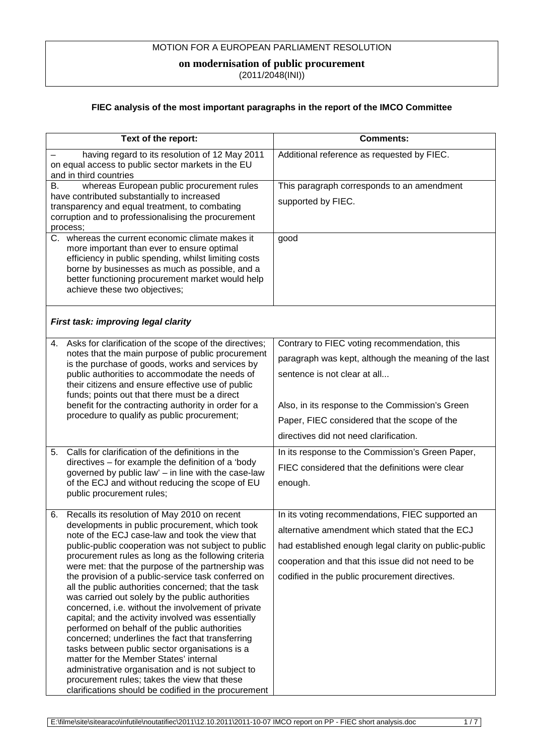## MOTION FOR A EUROPEAN PARLIAMENT RESOLUTION

## **on modernisation of public procurement**

 $(2011/2048$ (INI))

## **FIEC analysis of the most important paragraphs in the report of the IMCO Committee**

| Text of the report:                                                                                      | <b>Comments:</b>                                      |
|----------------------------------------------------------------------------------------------------------|-------------------------------------------------------|
| having regard to its resolution of 12 May 2011                                                           | Additional reference as requested by FIEC.            |
| on equal access to public sector markets in the EU                                                       |                                                       |
| and in third countries                                                                                   |                                                       |
| whereas European public procurement rules<br>В.                                                          | This paragraph corresponds to an amendment            |
| have contributed substantially to increased                                                              | supported by FIEC.                                    |
| transparency and equal treatment, to combating                                                           |                                                       |
| corruption and to professionalising the procurement                                                      |                                                       |
| process;<br>C. whereas the current economic climate makes it                                             | good                                                  |
| more important than ever to ensure optimal                                                               |                                                       |
| efficiency in public spending, whilst limiting costs                                                     |                                                       |
| borne by businesses as much as possible, and a                                                           |                                                       |
| better functioning procurement market would help                                                         |                                                       |
| achieve these two objectives;                                                                            |                                                       |
|                                                                                                          |                                                       |
|                                                                                                          |                                                       |
| First task: improving legal clarity                                                                      |                                                       |
| Asks for clarification of the scope of the directives;<br>4.                                             | Contrary to FIEC voting recommendation, this          |
| notes that the main purpose of public procurement                                                        | paragraph was kept, although the meaning of the last  |
| is the purchase of goods, works and services by<br>public authorities to accommodate the needs of        | sentence is not clear at all                          |
| their citizens and ensure effective use of public                                                        |                                                       |
| funds; points out that there must be a direct                                                            |                                                       |
| benefit for the contracting authority in order for a                                                     | Also, in its response to the Commission's Green       |
| procedure to qualify as public procurement;                                                              | Paper, FIEC considered that the scope of the          |
|                                                                                                          | directives did not need clarification.                |
| Calls for clarification of the definitions in the<br>5 <sub>1</sub>                                      | In its response to the Commission's Green Paper,      |
| directives – for example the definition of a 'body                                                       | FIEC considered that the definitions were clear       |
| governed by public law' - in line with the case-law                                                      |                                                       |
| of the ECJ and without reducing the scope of EU                                                          | enough.                                               |
| public procurement rules;                                                                                |                                                       |
| Recalls its resolution of May 2010 on recent<br>6.                                                       | In its voting recommendations, FIEC supported an      |
| developments in public procurement, which took                                                           | alternative amendment which stated that the ECJ       |
| note of the ECJ case-law and took the view that<br>public-public cooperation was not subject to public   | had established enough legal clarity on public-public |
| procurement rules as long as the following criteria                                                      | cooperation and that this issue did not need to be    |
| were met: that the purpose of the partnership was<br>the provision of a public-service task conferred on | codified in the public procurement directives.        |
| all the public authorities concerned; that the task                                                      |                                                       |
| was carried out solely by the public authorities                                                         |                                                       |
| concerned, i.e. without the involvement of private                                                       |                                                       |
| capital; and the activity involved was essentially                                                       |                                                       |
| performed on behalf of the public authorities                                                            |                                                       |
| concerned; underlines the fact that transferring                                                         |                                                       |
| tasks between public sector organisations is a<br>matter for the Member States' internal                 |                                                       |
| administrative organisation and is not subject to                                                        |                                                       |
| procurement rules; takes the view that these                                                             |                                                       |
| clarifications should be codified in the procurement                                                     |                                                       |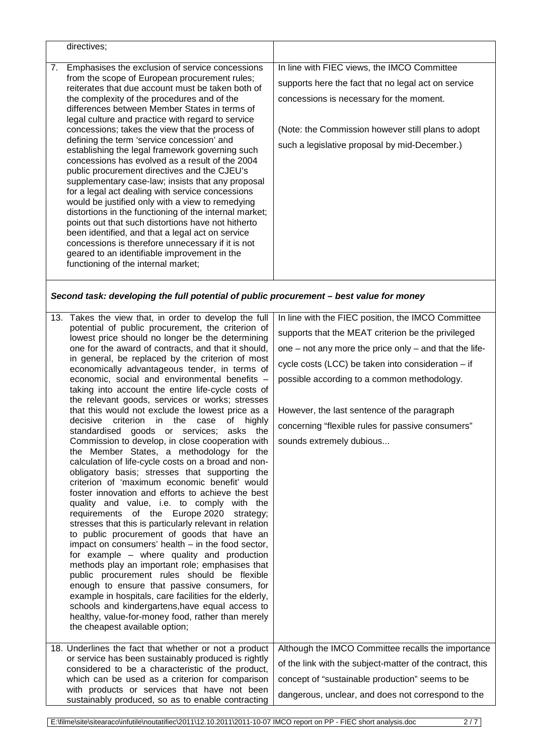| directives;                                                                                                                                                                                                                                                                                                                                                                                                                                                                                                                                                                                                                                                                                                                                                                                                                                                                                                                                                                                                                                          |                                                                                                                                                                                                                                                        |
|------------------------------------------------------------------------------------------------------------------------------------------------------------------------------------------------------------------------------------------------------------------------------------------------------------------------------------------------------------------------------------------------------------------------------------------------------------------------------------------------------------------------------------------------------------------------------------------------------------------------------------------------------------------------------------------------------------------------------------------------------------------------------------------------------------------------------------------------------------------------------------------------------------------------------------------------------------------------------------------------------------------------------------------------------|--------------------------------------------------------------------------------------------------------------------------------------------------------------------------------------------------------------------------------------------------------|
| Emphasises the exclusion of service concessions<br>7.<br>from the scope of European procurement rules;<br>reiterates that due account must be taken both of<br>the complexity of the procedures and of the<br>differences between Member States in terms of<br>legal culture and practice with regard to service<br>concessions; takes the view that the process of<br>defining the term 'service concession' and<br>establishing the legal framework governing such<br>concessions has evolved as a result of the 2004<br>public procurement directives and the CJEU's<br>supplementary case-law; insists that any proposal<br>for a legal act dealing with service concessions<br>would be justified only with a view to remedying<br>distortions in the functioning of the internal market;<br>points out that such distortions have not hitherto<br>been identified, and that a legal act on service<br>concessions is therefore unnecessary if it is not<br>geared to an identifiable improvement in the<br>functioning of the internal market; | In line with FIEC views, the IMCO Committee<br>supports here the fact that no legal act on service<br>concessions is necessary for the moment.<br>(Note: the Commission however still plans to adopt)<br>such a legislative proposal by mid-December.) |

*Second task: developing the full potential of public procurement – best value for money*

| 13. Takes the view that, in order to develop the full<br>potential of public procurement, the criterion of<br>lowest price should no longer be the determining<br>one for the award of contracts, and that it should,<br>in general, be replaced by the criterion of most<br>economically advantageous tender, in terms of<br>economic, social and environmental benefits -<br>taking into account the entire life-cycle costs of<br>the relevant goods, services or works; stresses<br>that this would not exclude the lowest price as a<br>decisive<br>criterion in the<br>case<br>of highly<br>standardised goods or services;<br>asks the<br>Commission to develop, in close cooperation with<br>the Member States, a methodology for the<br>calculation of life-cycle costs on a broad and non-<br>obligatory basis; stresses that supporting the<br>criterion of 'maximum economic benefit' would<br>foster innovation and efforts to achieve the best<br>quality and value, i.e. to comply with the<br>requirements of the Europe 2020 strategy;<br>stresses that this is particularly relevant in relation<br>to public procurement of goods that have an<br>impact on consumers' health $-$ in the food sector,<br>for example – where quality and production<br>methods play an important role; emphasises that<br>public procurement rules should be flexible<br>enough to ensure that passive consumers, for<br>example in hospitals, care facilities for the elderly,<br>schools and kindergartens, have equal access to<br>healthy, value-for-money food, rather than merely<br>the cheapest available option; | In line with the FIEC position, the IMCO Committee<br>supports that the MEAT criterion be the privileged<br>one $-$ not any more the price only $-$ and that the life-<br>cycle costs (LCC) be taken into consideration - if<br>possible according to a common methodology.<br>However, the last sentence of the paragraph<br>concerning "flexible rules for passive consumers"<br>sounds extremely dubious |
|------------------------------------------------------------------------------------------------------------------------------------------------------------------------------------------------------------------------------------------------------------------------------------------------------------------------------------------------------------------------------------------------------------------------------------------------------------------------------------------------------------------------------------------------------------------------------------------------------------------------------------------------------------------------------------------------------------------------------------------------------------------------------------------------------------------------------------------------------------------------------------------------------------------------------------------------------------------------------------------------------------------------------------------------------------------------------------------------------------------------------------------------------------------------------------------------------------------------------------------------------------------------------------------------------------------------------------------------------------------------------------------------------------------------------------------------------------------------------------------------------------------------------------------------------------------------------------------------------------------------------|-------------------------------------------------------------------------------------------------------------------------------------------------------------------------------------------------------------------------------------------------------------------------------------------------------------------------------------------------------------------------------------------------------------|
|                                                                                                                                                                                                                                                                                                                                                                                                                                                                                                                                                                                                                                                                                                                                                                                                                                                                                                                                                                                                                                                                                                                                                                                                                                                                                                                                                                                                                                                                                                                                                                                                                              |                                                                                                                                                                                                                                                                                                                                                                                                             |
| 18. Underlines the fact that whether or not a product                                                                                                                                                                                                                                                                                                                                                                                                                                                                                                                                                                                                                                                                                                                                                                                                                                                                                                                                                                                                                                                                                                                                                                                                                                                                                                                                                                                                                                                                                                                                                                        | Although the IMCO Committee recalls the importance                                                                                                                                                                                                                                                                                                                                                          |
| or service has been sustainably produced is rightly<br>considered to be a characteristic of the product,                                                                                                                                                                                                                                                                                                                                                                                                                                                                                                                                                                                                                                                                                                                                                                                                                                                                                                                                                                                                                                                                                                                                                                                                                                                                                                                                                                                                                                                                                                                     | of the link with the subject-matter of the contract, this                                                                                                                                                                                                                                                                                                                                                   |
| which can be used as a criterion for comparison                                                                                                                                                                                                                                                                                                                                                                                                                                                                                                                                                                                                                                                                                                                                                                                                                                                                                                                                                                                                                                                                                                                                                                                                                                                                                                                                                                                                                                                                                                                                                                              | concept of "sustainable production" seems to be                                                                                                                                                                                                                                                                                                                                                             |
| with products or services that have not been<br>sustainably produced, so as to enable contracting                                                                                                                                                                                                                                                                                                                                                                                                                                                                                                                                                                                                                                                                                                                                                                                                                                                                                                                                                                                                                                                                                                                                                                                                                                                                                                                                                                                                                                                                                                                            | dangerous, unclear, and does not correspond to the                                                                                                                                                                                                                                                                                                                                                          |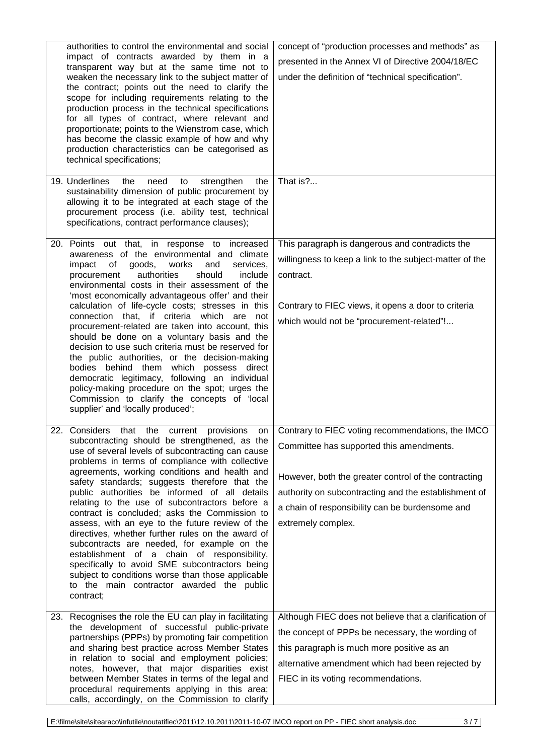| authorities to control the environmental and social<br>impact of contracts awarded by them in a<br>transparent way but at the same time not to<br>weaken the necessary link to the subject matter of<br>the contract; points out the need to clarify the<br>scope for including requirements relating to the<br>production process in the technical specifications<br>for all types of contract, where relevant and<br>proportionate; points to the Wienstrom case, which<br>has become the classic example of how and why<br>production characteristics can be categorised as<br>technical specifications;                                                                                                                                                                                                                                                      | concept of "production processes and methods" as<br>presented in the Annex VI of Directive 2004/18/EC<br>under the definition of "technical specification".                                                                                                                            |
|------------------------------------------------------------------------------------------------------------------------------------------------------------------------------------------------------------------------------------------------------------------------------------------------------------------------------------------------------------------------------------------------------------------------------------------------------------------------------------------------------------------------------------------------------------------------------------------------------------------------------------------------------------------------------------------------------------------------------------------------------------------------------------------------------------------------------------------------------------------|----------------------------------------------------------------------------------------------------------------------------------------------------------------------------------------------------------------------------------------------------------------------------------------|
| 19. Underlines<br>the<br>need<br>to<br>strengthen<br>the<br>sustainability dimension of public procurement by<br>allowing it to be integrated at each stage of the<br>procurement process (i.e. ability test, technical<br>specifications, contract performance clauses);                                                                                                                                                                                                                                                                                                                                                                                                                                                                                                                                                                                        | That is?                                                                                                                                                                                                                                                                               |
| 20. Points out that, in response to increased<br>awareness of the environmental and climate<br>of<br>goods,<br>works<br>services,<br>impact<br>and<br>authorities<br>should<br>include<br>procurement<br>environmental costs in their assessment of the<br>'most economically advantageous offer' and their<br>calculation of life-cycle costs; stresses in this<br>connection that, if criteria which are<br>not<br>procurement-related are taken into account, this<br>should be done on a voluntary basis and the<br>decision to use such criteria must be reserved for<br>the public authorities, or the decision-making<br>bodies behind them which possess direct<br>democratic legitimacy, following an individual<br>policy-making procedure on the spot; urges the<br>Commission to clarify the concepts of 'local<br>supplier' and 'locally produced'; | This paragraph is dangerous and contradicts the<br>willingness to keep a link to the subject-matter of the<br>contract.<br>Contrary to FIEC views, it opens a door to criteria<br>which would not be "procurement-related"!                                                            |
| 22. Considers<br>that the current<br>provisions<br>on<br>subcontracting should be strengthened, as the<br>use of several levels of subcontracting can cause<br>problems in terms of compliance with collective<br>agreements, working conditions and health and<br>safety standards; suggests therefore that the<br>public authorities be informed of all details<br>relating to the use of subcontractors before a<br>contract is concluded; asks the Commission to<br>assess, with an eye to the future review of the<br>directives, whether further rules on the award of<br>subcontracts are needed, for example on the<br>establishment of a chain of responsibility,<br>specifically to avoid SME subcontractors being<br>subject to conditions worse than those applicable<br>to the main contractor awarded the public<br>contract;                      | Contrary to FIEC voting recommendations, the IMCO<br>Committee has supported this amendments.<br>However, both the greater control of the contracting<br>authority on subcontracting and the establishment of<br>a chain of responsibility can be burdensome and<br>extremely complex. |
| 23. Recognises the role the EU can play in facilitating<br>the development of successful public-private<br>partnerships (PPPs) by promoting fair competition<br>and sharing best practice across Member States<br>in relation to social and employment policies;<br>notes, however, that major disparities exist<br>between Member States in terms of the legal and<br>procedural requirements applying in this area;<br>calls, accordingly, on the Commission to clarify                                                                                                                                                                                                                                                                                                                                                                                        | Although FIEC does not believe that a clarification of<br>the concept of PPPs be necessary, the wording of<br>this paragraph is much more positive as an<br>alternative amendment which had been rejected by<br>FIEC in its voting recommendations.                                    |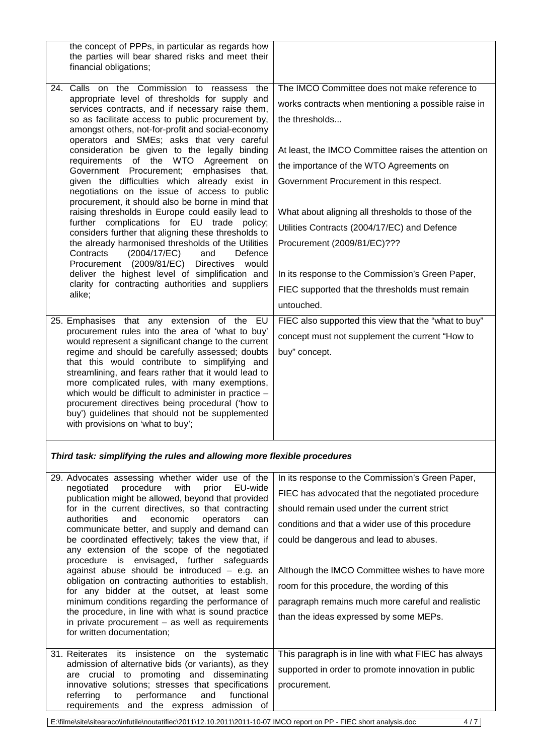| the concept of PPPs, in particular as regards how<br>the parties will bear shared risks and meet their<br>financial obligations; |                                                      |
|----------------------------------------------------------------------------------------------------------------------------------|------------------------------------------------------|
| 24. Calls on the Commission to reassess the                                                                                      | The IMCO Committee does not make reference to        |
| appropriate level of thresholds for supply and                                                                                   |                                                      |
| services contracts, and if necessary raise them,                                                                                 | works contracts when mentioning a possible raise in  |
| so as facilitate access to public procurement by,                                                                                | the thresholds                                       |
| amongst others, not-for-profit and social-economy<br>operators and SMEs; asks that very careful                                  |                                                      |
| consideration be given to the legally binding                                                                                    | At least, the IMCO Committee raises the attention on |
| requirements of the WTO Agreement on                                                                                             | the importance of the WTO Agreements on              |
| Government Procurement; emphasises that,<br>given the difficulties which already exist in                                        | Government Procurement in this respect.              |
| negotiations on the issue of access to public<br>procurement, it should also be borne in mind that                               |                                                      |
| raising thresholds in Europe could easily lead to                                                                                | What about aligning all thresholds to those of the   |
| further complications for EU trade policy;<br>considers further that aligning these thresholds to                                | Utilities Contracts (2004/17/EC) and Defence         |
| the already harmonised thresholds of the Utilities                                                                               | Procurement (2009/81/EC)???                          |
| Contracts<br>(2004/17/EC)<br>Defence<br>and                                                                                      |                                                      |
| Procurement (2009/81/EC)<br>Directives would<br>deliver the highest level of simplification and                                  | In its response to the Commission's Green Paper,     |
| clarity for contracting authorities and suppliers                                                                                |                                                      |
| alike;                                                                                                                           | FIEC supported that the thresholds must remain       |
|                                                                                                                                  | untouched.                                           |
| 25. Emphasises that any extension of the EU                                                                                      | FIEC also supported this view that the "what to buy" |
| procurement rules into the area of 'what to buy'<br>would represent a significant change to the current                          | concept must not supplement the current "How to      |
| regime and should be carefully assessed; doubts                                                                                  | buy" concept.                                        |
| that this would contribute to simplifying and                                                                                    |                                                      |
| streamlining, and fears rather that it would lead to<br>more complicated rules, with many exemptions,                            |                                                      |
| which would be difficult to administer in practice -                                                                             |                                                      |
| procurement directives being procedural ('how to                                                                                 |                                                      |
| buy') guidelines that should not be supplemented<br>with provisions on 'what to buy';                                            |                                                      |
| Third task: simplifying the rules and allowing more flexible procedures                                                          |                                                      |
|                                                                                                                                  |                                                      |
| 29. Advocates assessing whether wider use of the                                                                                 | In its response to the Commission's Green Paper,     |
| procedure<br>with<br>prior<br>EU-wide<br>negotiated<br>publication might be allowed, beyond that provided                        | FIEC has advocated that the negotiated procedure     |
| for in the current directives, so that contracting                                                                               | should remain used under the current strict          |
| authorities<br>and<br>economic<br>operators<br>can<br>communicate better, and supply and demand can                              | conditions and that a wider use of this procedure    |
| be coordinated effectively; takes the view that, if                                                                              | could be dangerous and lead to abuses.               |
| any extension of the scope of the negotiated                                                                                     |                                                      |
| envisaged, further<br>safeguards<br>procedure is<br>against abuse should be introduced $-$ e.g. an                               | Although the IMCO Committee wishes to have more      |
| obligation on contracting authorities to establish,                                                                              | room for this procedure, the wording of this         |
| for any bidder at the outset, at least some                                                                                      |                                                      |
| minimum conditions regarding the performance of<br>the procedure, in line with what is sound practice                            | paragraph remains much more careful and realistic    |
| in private procurement $-$ as well as requirements                                                                               | than the ideas expressed by some MEPs.               |
| for written documentation;                                                                                                       |                                                      |
| 31. Reiterates its<br>the systematic<br>insistence<br>on                                                                         | This paragraph is in line with what FIEC has always  |
| admission of alternative bids (or variants), as they                                                                             | supported in order to promote innovation in public   |
| are crucial to promoting and disseminating                                                                                       |                                                      |
| innovative solutions; stresses that specifications<br>performance<br>functional<br>referring<br>and<br>to                        | procurement.                                         |
| requirements and the express admission of                                                                                        |                                                      |

E:\filme\site\sitearaco\infutile\noutatifiec\2011\12.10.2011\2011-10-07 IMCO report on PP - FIEC short analysis.doc 4 / 7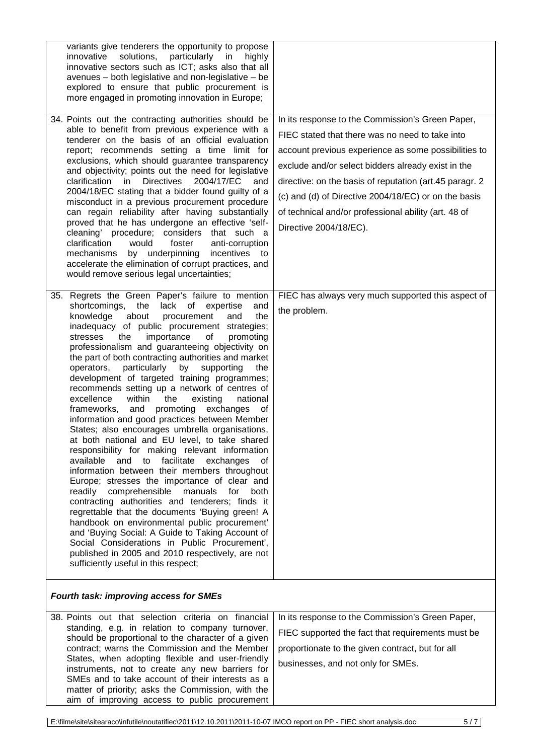| variants give tenderers the opportunity to propose<br>innovative solutions,<br>particularly<br>in<br>highly<br>innovative sectors such as ICT; asks also that all<br>avenues - both legislative and non-legislative - be<br>explored to ensure that public procurement is<br>more engaged in promoting innovation in Europe;<br>34. Points out the contracting authorities should be<br>able to benefit from previous experience with a<br>tenderer on the basis of an official evaluation<br>report; recommends setting a time limit for<br>exclusions, which should guarantee transparency<br>and objectivity; points out the need for legislative<br>clarification in<br><b>Directives</b><br>2004/17/EC<br>and<br>2004/18/EC stating that a bidder found guilty of a<br>misconduct in a previous procurement procedure<br>can regain reliability after having substantially<br>proved that he has undergone an effective 'self-<br>cleaning' procedure; considers that such a<br>clarification<br>foster<br>would<br>anti-corruption<br>by underpinning<br>mechanisms<br>incentives<br>to<br>accelerate the elimination of corrupt practices, and<br>would remove serious legal uncertainties;                                                                                                                                                                                        | In its response to the Commission's Green Paper,<br>FIEC stated that there was no need to take into<br>account previous experience as some possibilities to<br>exclude and/or select bidders already exist in the<br>directive: on the basis of reputation (art.45 paragr. 2<br>(c) and (d) of Directive 2004/18/EC) or on the basis<br>of technical and/or professional ability (art. 48 of<br>Directive 2004/18/EC). |
|-------------------------------------------------------------------------------------------------------------------------------------------------------------------------------------------------------------------------------------------------------------------------------------------------------------------------------------------------------------------------------------------------------------------------------------------------------------------------------------------------------------------------------------------------------------------------------------------------------------------------------------------------------------------------------------------------------------------------------------------------------------------------------------------------------------------------------------------------------------------------------------------------------------------------------------------------------------------------------------------------------------------------------------------------------------------------------------------------------------------------------------------------------------------------------------------------------------------------------------------------------------------------------------------------------------------------------------------------------------------------------------------|------------------------------------------------------------------------------------------------------------------------------------------------------------------------------------------------------------------------------------------------------------------------------------------------------------------------------------------------------------------------------------------------------------------------|
| 35. Regrets the Green Paper's failure to mention<br>the lack of expertise<br>shortcomings,<br>and<br>knowledge<br>about<br>procurement<br>the<br>and<br>inadequacy of public procurement strategies;<br>stresses<br>the<br>importance<br>of<br>promoting<br>professionalism and guaranteeing objectivity on<br>the part of both contracting authorities and market<br>operators,<br>particularly by supporting<br>the<br>development of targeted training programmes;<br>recommends setting up a network of centres of<br>excellence<br>within<br>the<br>existing<br>national<br>and promoting exchanges<br>frameworks,<br>of<br>information and good practices between Member<br>States; also encourages umbrella organisations,<br>at both national and EU level, to take shared<br>responsibility for making relevant information<br>available and to facilitate exchanges<br>of<br>information between their members throughout<br>Europe; stresses the importance of clear and<br>readily comprehensible manuals<br>for both<br>contracting authorities and tenderers; finds it<br>regrettable that the documents 'Buying green! A<br>handbook on environmental public procurement'<br>and 'Buying Social: A Guide to Taking Account of<br>Social Considerations in Public Procurement',<br>published in 2005 and 2010 respectively, are not<br>sufficiently useful in this respect; | FIEC has always very much supported this aspect of<br>the problem.                                                                                                                                                                                                                                                                                                                                                     |
| <b>Fourth task: improving access for SMEs</b>                                                                                                                                                                                                                                                                                                                                                                                                                                                                                                                                                                                                                                                                                                                                                                                                                                                                                                                                                                                                                                                                                                                                                                                                                                                                                                                                             |                                                                                                                                                                                                                                                                                                                                                                                                                        |
| 38. Points out that selection criteria on financial                                                                                                                                                                                                                                                                                                                                                                                                                                                                                                                                                                                                                                                                                                                                                                                                                                                                                                                                                                                                                                                                                                                                                                                                                                                                                                                                       | In its response to the Commission's Green Paper,                                                                                                                                                                                                                                                                                                                                                                       |
| standing, e.g. in relation to company turnover,<br>should be proportional to the character of a given                                                                                                                                                                                                                                                                                                                                                                                                                                                                                                                                                                                                                                                                                                                                                                                                                                                                                                                                                                                                                                                                                                                                                                                                                                                                                     | FIEC supported the fact that requirements must be                                                                                                                                                                                                                                                                                                                                                                      |
| contract; warns the Commission and the Member                                                                                                                                                                                                                                                                                                                                                                                                                                                                                                                                                                                                                                                                                                                                                                                                                                                                                                                                                                                                                                                                                                                                                                                                                                                                                                                                             | proportionate to the given contract, but for all                                                                                                                                                                                                                                                                                                                                                                       |
| States, when adopting flexible and user-friendly<br>instruments, not to create any new barriers for<br>SMEs and to take account of their interests as a                                                                                                                                                                                                                                                                                                                                                                                                                                                                                                                                                                                                                                                                                                                                                                                                                                                                                                                                                                                                                                                                                                                                                                                                                                   | businesses, and not only for SMEs.                                                                                                                                                                                                                                                                                                                                                                                     |
| matter of priority; asks the Commission, with the                                                                                                                                                                                                                                                                                                                                                                                                                                                                                                                                                                                                                                                                                                                                                                                                                                                                                                                                                                                                                                                                                                                                                                                                                                                                                                                                         |                                                                                                                                                                                                                                                                                                                                                                                                                        |
| aim of improving access to public procurement                                                                                                                                                                                                                                                                                                                                                                                                                                                                                                                                                                                                                                                                                                                                                                                                                                                                                                                                                                                                                                                                                                                                                                                                                                                                                                                                             |                                                                                                                                                                                                                                                                                                                                                                                                                        |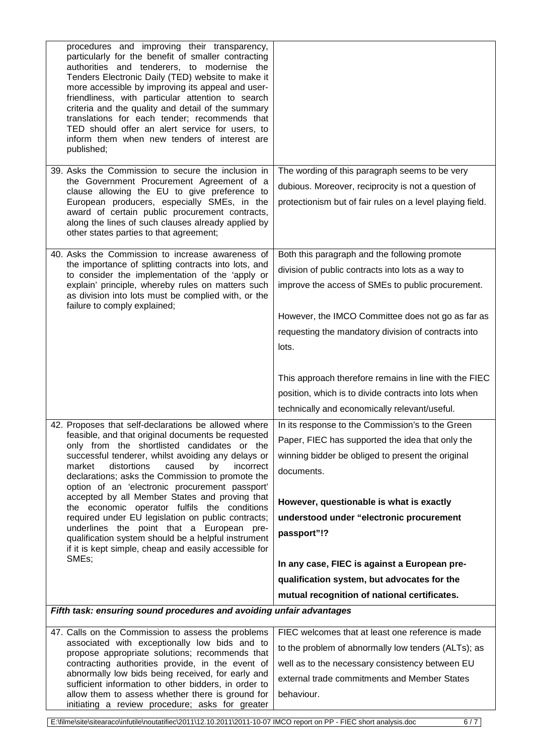| procedures and improving their transparency,<br>particularly for the benefit of smaller contracting<br>authorities and tenderers, to modernise the<br>Tenders Electronic Daily (TED) website to make it<br>more accessible by improving its appeal and user-<br>friendliness, with particular attention to search<br>criteria and the quality and detail of the summary<br>translations for each tender; recommends that<br>TED should offer an alert service for users, to<br>inform them when new tenders of interest are<br>published; |                                                                                                                                                                    |
|-------------------------------------------------------------------------------------------------------------------------------------------------------------------------------------------------------------------------------------------------------------------------------------------------------------------------------------------------------------------------------------------------------------------------------------------------------------------------------------------------------------------------------------------|--------------------------------------------------------------------------------------------------------------------------------------------------------------------|
| 39. Asks the Commission to secure the inclusion in<br>the Government Procurement Agreement of a<br>clause allowing the EU to give preference to<br>European producers, especially SMEs, in the<br>award of certain public procurement contracts,<br>along the lines of such clauses already applied by<br>other states parties to that agreement;                                                                                                                                                                                         | The wording of this paragraph seems to be very<br>dubious. Moreover, reciprocity is not a question of<br>protectionism but of fair rules on a level playing field. |
| 40. Asks the Commission to increase awareness of                                                                                                                                                                                                                                                                                                                                                                                                                                                                                          | Both this paragraph and the following promote                                                                                                                      |
| the importance of splitting contracts into lots, and<br>to consider the implementation of the 'apply or                                                                                                                                                                                                                                                                                                                                                                                                                                   | division of public contracts into lots as a way to                                                                                                                 |
| explain' principle, whereby rules on matters such<br>as division into lots must be complied with, or the<br>failure to comply explained;                                                                                                                                                                                                                                                                                                                                                                                                  | improve the access of SMEs to public procurement.                                                                                                                  |
|                                                                                                                                                                                                                                                                                                                                                                                                                                                                                                                                           | However, the IMCO Committee does not go as far as                                                                                                                  |
|                                                                                                                                                                                                                                                                                                                                                                                                                                                                                                                                           | requesting the mandatory division of contracts into                                                                                                                |
|                                                                                                                                                                                                                                                                                                                                                                                                                                                                                                                                           | lots.                                                                                                                                                              |
|                                                                                                                                                                                                                                                                                                                                                                                                                                                                                                                                           | This approach therefore remains in line with the FIEC                                                                                                              |
|                                                                                                                                                                                                                                                                                                                                                                                                                                                                                                                                           | position, which is to divide contracts into lots when                                                                                                              |
|                                                                                                                                                                                                                                                                                                                                                                                                                                                                                                                                           | technically and economically relevant/useful.                                                                                                                      |
| 42. Proposes that self-declarations be allowed where                                                                                                                                                                                                                                                                                                                                                                                                                                                                                      | In its response to the Commission's to the Green                                                                                                                   |
| feasible, and that original documents be requested                                                                                                                                                                                                                                                                                                                                                                                                                                                                                        | Paper, FIEC has supported the idea that only the                                                                                                                   |
| only from the shortlisted candidates or the<br>successful tenderer, whilst avoiding any delays or                                                                                                                                                                                                                                                                                                                                                                                                                                         | winning bidder be obliged to present the original                                                                                                                  |
| distortions<br>by<br>market<br>caused<br>incorrect<br>declarations; asks the Commission to promote the<br>option of an 'electronic procurement passport'                                                                                                                                                                                                                                                                                                                                                                                  | documents.                                                                                                                                                         |
| accepted by all Member States and proving that                                                                                                                                                                                                                                                                                                                                                                                                                                                                                            | However, questionable is what is exactly                                                                                                                           |
| the economic operator fulfils the conditions<br>required under EU legislation on public contracts;                                                                                                                                                                                                                                                                                                                                                                                                                                        | understood under "electronic procurement                                                                                                                           |
| underlines the point that a European pre-                                                                                                                                                                                                                                                                                                                                                                                                                                                                                                 | passport"!?                                                                                                                                                        |
| qualification system should be a helpful instrument<br>if it is kept simple, cheap and easily accessible for<br>SMEs;                                                                                                                                                                                                                                                                                                                                                                                                                     |                                                                                                                                                                    |
|                                                                                                                                                                                                                                                                                                                                                                                                                                                                                                                                           | In any case, FIEC is against a European pre-                                                                                                                       |
|                                                                                                                                                                                                                                                                                                                                                                                                                                                                                                                                           | qualification system, but advocates for the                                                                                                                        |
|                                                                                                                                                                                                                                                                                                                                                                                                                                                                                                                                           | mutual recognition of national certificates.                                                                                                                       |
| Fifth task: ensuring sound procedures and avoiding unfair advantages                                                                                                                                                                                                                                                                                                                                                                                                                                                                      |                                                                                                                                                                    |
| 47. Calls on the Commission to assess the problems<br>associated with exceptionally low bids and to                                                                                                                                                                                                                                                                                                                                                                                                                                       | FIEC welcomes that at least one reference is made                                                                                                                  |
| propose appropriate solutions; recommends that                                                                                                                                                                                                                                                                                                                                                                                                                                                                                            | to the problem of abnormally low tenders (ALTs); as                                                                                                                |
| contracting authorities provide, in the event of<br>abnormally low bids being received, for early and                                                                                                                                                                                                                                                                                                                                                                                                                                     | well as to the necessary consistency between EU                                                                                                                    |
| sufficient information to other bidders, in order to                                                                                                                                                                                                                                                                                                                                                                                                                                                                                      | external trade commitments and Member States                                                                                                                       |
| allow them to assess whether there is ground for                                                                                                                                                                                                                                                                                                                                                                                                                                                                                          | behaviour.                                                                                                                                                         |
| initiating a review procedure; asks for greater                                                                                                                                                                                                                                                                                                                                                                                                                                                                                           |                                                                                                                                                                    |